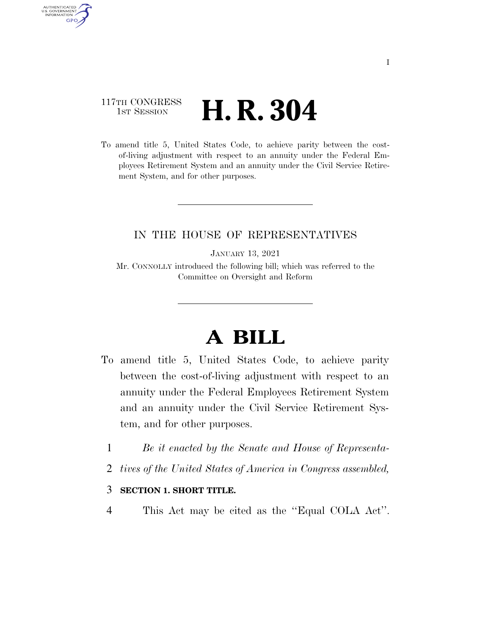## 117TH CONGRESS **1st Session H. R. 304**

AUTHENTICATED<br>U.S. GOVERNMENT<br>INFORMATION

**GPO** 

To amend title 5, United States Code, to achieve parity between the costof-living adjustment with respect to an annuity under the Federal Employees Retirement System and an annuity under the Civil Service Retirement System, and for other purposes.

### IN THE HOUSE OF REPRESENTATIVES

JANUARY 13, 2021

Mr. CONNOLLY introduced the following bill; which was referred to the Committee on Oversight and Reform

# **A BILL**

- To amend title 5, United States Code, to achieve parity between the cost-of-living adjustment with respect to an annuity under the Federal Employees Retirement System and an annuity under the Civil Service Retirement System, and for other purposes.
	- 1 *Be it enacted by the Senate and House of Representa-*
	- 2 *tives of the United States of America in Congress assembled,*

### 3 **SECTION 1. SHORT TITLE.**

4 This Act may be cited as the ''Equal COLA Act''.